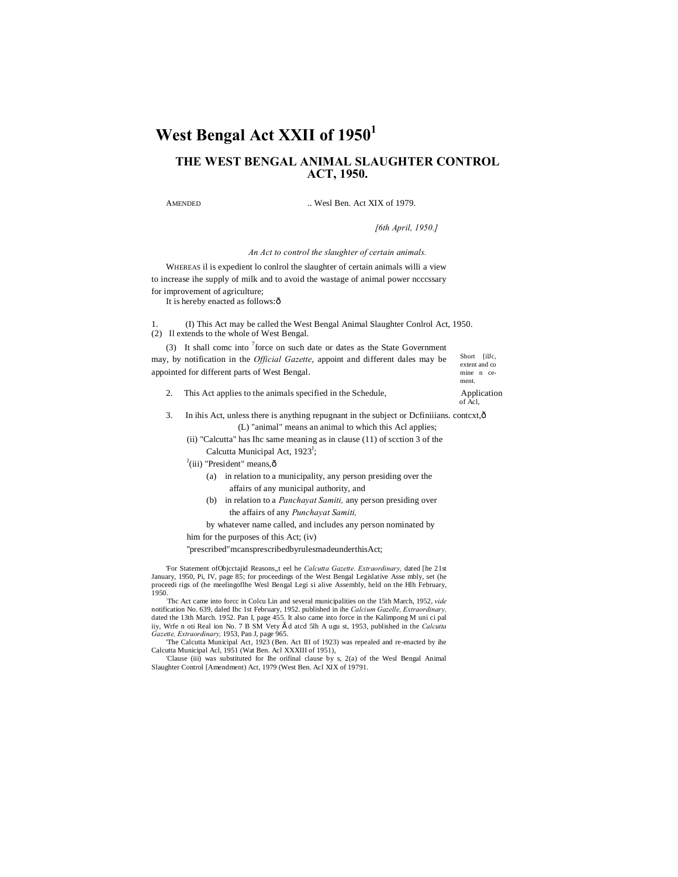# West Bengal Act XXII of 1950<sup>1</sup>

## **THE WEST BENGAL ANIMAL SLAUGHTER CONTROL ACT, 1950.**

AMENDED ... Wesl Ben. Act XIX of 1979.

*[6th April, 1950.]*

Short [illc, extent and co mine n cement.

of Acl,

*An Act to control the slaughter of certain animals.*

WHEREAS il is expedient lo conlrol the slaughter of certain animals willi a view to increase ihe supply of milk and to avoid the wastage of animal power ncccssary for improvement of agriculture;

It is hereby enacted as follows: ô

1. (I) This Act may be called the West Bengal Animal Slaughter Conlrol Act, 1950. (2) Il extends to the whole of West Bengal.

(3) It shall come into  $\frac{7}{1}$  force on such date or dates as the State Government may, by notification in the *Official Gazette*, appoint and different dales may be appointed for different parts of West Bengal.

- 2. This Act applies to the animals specified in the Schedule, Application
- 3. In ihis Act, unless there is anything repugnant in the subject or Definiiians. context,  $\delta$ (L) "animal" means an animal to which this Acl applies;
	- (ii) "Calcutta" has Ihc same meaning as in clause (11) of scction 3 of the Calcutta Municipal Act, 1923<sup>J</sup>;
	- $J$ (iii) "President" means, $\hat{o}$ 
		- (a) in relation to a municipality, any person presiding over the affairs of any municipal authority, and
		- (b) in relation to a *Panchayat Samiti,* any person presiding over the affairs of any *Punchayat Samiti,*
		- by whatever name called, and includes any person nominated by

him for the purposes of this Act; (iv)

''prescribed"mcansprescribedbyrulesmadeunderthisAct;

'For Statement ofObjcctajid Reasons,,t eel he *Calcutta Gazette. Extraordinary,* dated [he 21st January, 1950, Pi, IV, page 85; for proceedings of the West Bengal Legislative Asse mbly, set (he proceedi rigs of (he meelingoflhe Wesl Bengal Legi si alive Assembly, held on the Hlh February, 1950.:

Thc Act came into forcc in Colcu Lin and several municipalities on the 15th March, 1952, *vide* notification No. 639, daled Ihc 1st February, 1952. published in ihe Calcium Gazelle, Extraordinary, dated the 13th March. 1952. Pan I, page 455. It also came into force in the Kalimpong M uni ci pal<br>iiy, Wrfe n oti Real i *Gazette, Extraordinary,* 1953, Pan J, page 965.

'The Calcutta Municipal Act, 1923 (Ben. Act III of 1923) was repealed and re-enacted by ihe Calcutta Municipal Acl, 1951 (Wat Ben. Acl XXXIII of 1951),

'Clause (iii) was substituted for Ihe orifinal clause by s, 2(a) of the Wesl Bengal Animal Slaughter Control [Amendment) Act, 1979 (West Ben. Acl XIX of 19791.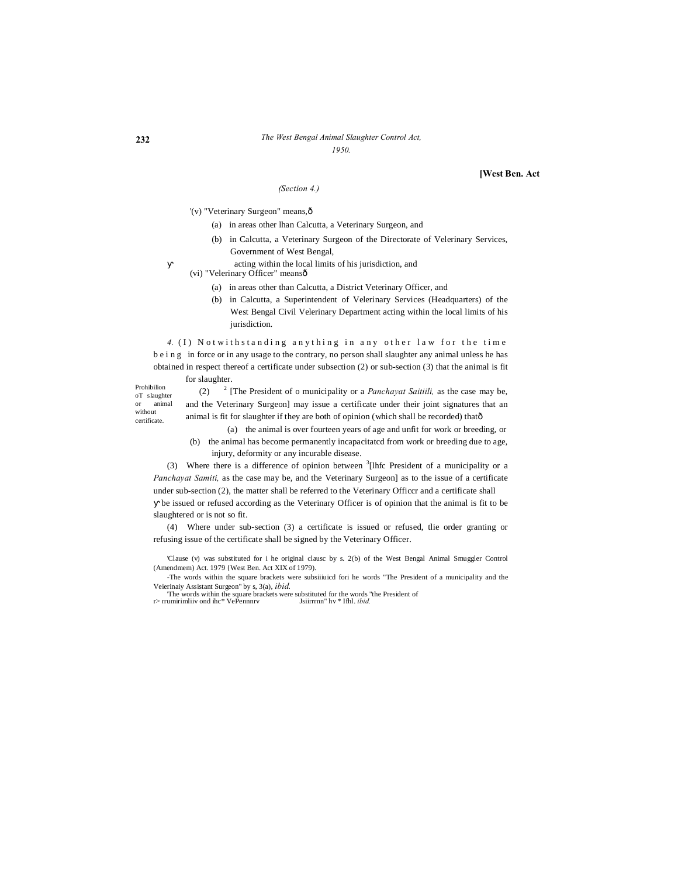#### *The West Bengal Animal Slaughter Control Act, 1950.*

**[West Ben. Act**

## *(Section 4.)*

'(v) "Veterinary Surgeon" means,—

- (a) in areas other lhan Calcutta, a Veterinary Surgeon, and
- (b) in Calcutta, a Veterinary Surgeon of the Directorate of Velerinary Services, Government of West Bengal,
	- acting within the local limits of his jurisdiction, and
- (vi) "Velerinary Officer" means—
	- (a) in areas other than Calcutta, a District Veterinary Officer, and
	- (b) in Calcutta, a Superintendent of Velerinary Services (Headquarters) of the West Bengal Civil Velerinary Department acting within the local limits of his jurisdiction.

*4.* (I) Notwithstanding anything in any other law for the time b e i n g in force or in any usage to the contrary, no person shall slaughter any animal unless he has obtained in respect thereof a certificate under subsection (2) or sub-section (3) that the animal is fit for slaughter.

Prohibilion oT slaughter or animal without certificate.

(2) <sup>2</sup> [The President of o municipality or a *Panchayat Saitiili,* as the case may be, and the Veterinary Surgeon] may issue a certificate under their joint signatures that an animal is fit for slaughter if they are both of opinion (which shall be recorded) thatô

(a) the animal is over fourteen years of age and unfit for work or breeding, or

(b) the animal has become permanently incapacitatcd from work or breeding due to age, injury, deformity or any incurable disease.

(3) Where there is a difference of opinion between  $\frac{3}{1}$ [lhfc President of a municipality or a *Panchayat Samiti,* as the case may be, and the Veterinary Surgeon] as to the issue of a certificate under sub-section (2), the matter shall be referred to the Veterinary Officcr and a certificate shall

be issued or refused according as the Veterinary Officer is of opinion that the animal is fit to be slaughtered or is not so fit.

(4) Where under sub-section (3) a certificate is issued or refused, tlie order granting or refusing issue of the certificate shall be signed by the Veterinary Officer.

'Clause (v) was substituted for i he original clausc by s. 2(b) of the West Bengal Animal Smuggler Control (Amendmem) Act. 1979 {West Ben. Act XIX of 1979).

-The words within the square brackets were subsiiiuicd fori he words "The President of a municipality and the Veierinaiy Assistant Surgeon" by s, 3(a), *ibid.* 'The words within the square brackets were substituted for the words "the President of

r> rrumirimliiv ond ihc\* VePennnrv Jsiirrrnn" hv \* Ifhl. *ibid.*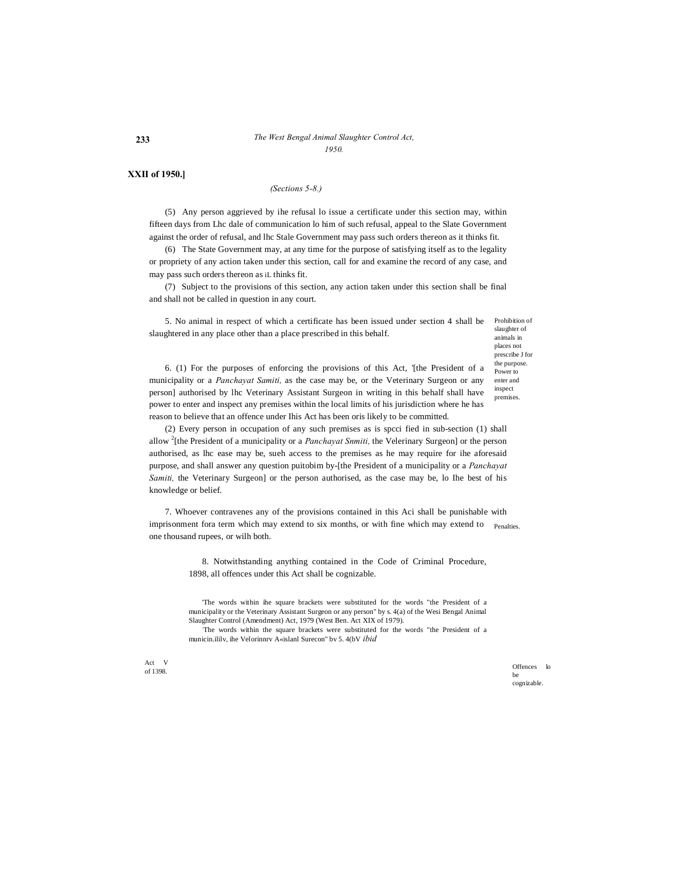#### **233** *The West Bengal Animal Slaughter Control Act, 1950.*

#### **XXII of 1950.]**

#### *(Sections 5-8.)*

(5) Any person aggrieved by ihe refusal lo issue a certificate under this section may, within fifteen days from Lhc dale of communication lo him of such refusal, appeal to the Slate Government against the order of refusal, and lhc Stale Government may pass such orders thereon as it thinks fit.

(6) The State Government may, at any time for the purpose of satisfying itself as to the legality or propriety of any action taken under this section, call for and examine the record of any case, and may pass such orders thereon as iL thinks fit.

(7) Subject to the provisions of this section, any action taken under this section shall be final and shall not be called in question in any court.

Prohibition of 5. No animal in respect of which a certificate has been issued under section 4 shall be slaughtered in any place other than a place prescribed in this behalf.

slaughter of animals in places not prescribe J for the purpose. Power to enter and inspect premises.

6. (1) For the purposes of enforcing the provisions of this Act, '[the President of a municipality or a *Panchayat Samiti,* as the case may be, or the Veterinary Surgeon or any person] authorised by lhc Veterinary Assistant Surgeon in writing in this behalf shall have power to enter and inspect any premises within the local limits of his jurisdiction where he has reason to believe that an offence under Ihis Act has been oris likely to be committed.

(2) Every person in occupation of any such premises as is spcci fied in sub-section (1) shall allow <sup>2</sup> [the President of a municipality or a *Panchayat Snmiti,* the Velerinary Surgeon] or the person authorised, as lhc ease may be, sueh access to the premises as he may require for ihe aforesaid purpose, and shall answer any question puitobim by-[the President of a municipality or a *Panchayat Samiti,* the Veterinary Surgeon] or the person authorised, as the case may be, lo Ihe best of his knowledge or belief.

imprisonment fora term which may extend to six months, or with fine which may extend to penalties. 7. Whoever contravenes any of the provisions contained in this Aci shall be punishable with one thousand rupees, or wilh both.

> 8. Notwithstanding anything contained in the Code of Criminal Procedure, 1898, all offences under this Act shall be cognizable.

> 'The words within ihe square brackets were substituted for the words "the President of a municipality or the Veterinary Assistant Surgeon or any person" by s. 4(a) of the Wesi Bengal Animal Slaughter Control (Amendment) Act, 1979 (West Ben. Act XIX of 1979).

> : The words within the square brackets were substituted for the words "the President of a municin.ililv, ihe Velorinnrv A«islanl Surecon" bv 5. 4(bV *ibid*

Act V

of 1398. Contract to the contract of the contract of the contract of the contract of the contract of the contract of the contract of the contract of the contract of the contract of the contract of the contract of the contr be cognizable.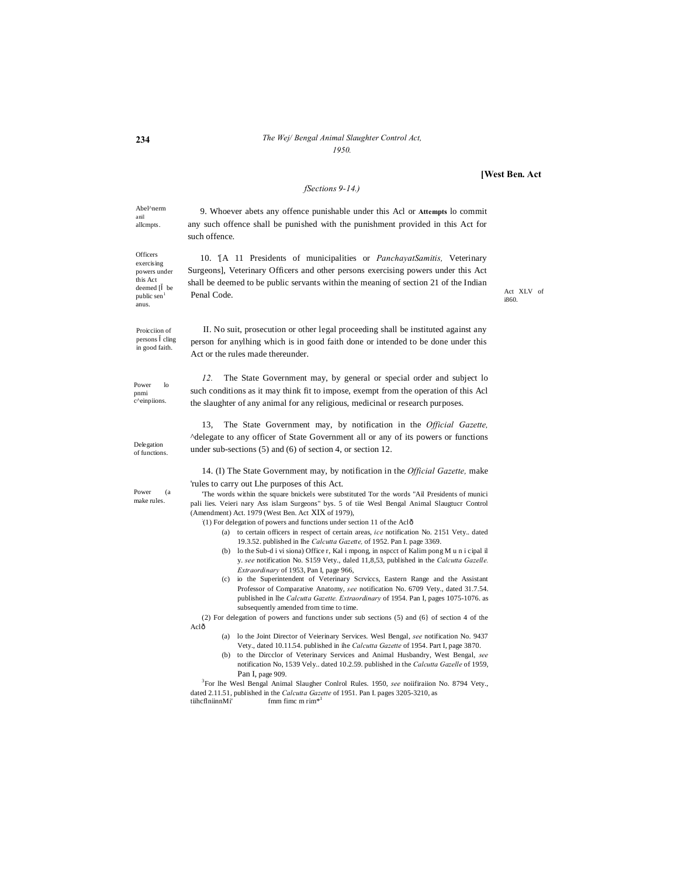#### *The Wej/ Bengal Animal Slaughter Control Act, 1950.*

#### **[West Ben. Act**

## *fSections 9-14.)*

Abel^nerm anil

9. Whoever abets any offence punishable under this Acl or **Attempts** lo commit any such offence shall be punished with the punishment provided in this Act for such offence.

10. '[A 11 Presidents of municipalities or *PanchayatSamitis,* Veterinary Surgeons], Veterinary Officers and other persons exercising powers under this Act shall be deemed to be public servants within the meaning of section 21 of the Indian Penal Code.

Act XLV of i860.

II. No suit, prosecution or other legal proceeding shall be instituted against any person for anylhing which is in good faith done or intended to be done under this Act or the rules made thereunder.

*12.* The State Government may, by general or special order and subject lo such conditions as it may think fit to impose, exempt from the operation of this Acl the slaughter of any animal for any religious, medicinal or research purposes.

13, The State Government may, by notification in the *Official Gazette,*  ^delegate to any officer of State Government all or any of its powers or functions under sub-sections (5) and (6) of section 4, or section 12.

14. (I) The State Government may, by notification in the *Official Gazette,* make 'rules to carry out Lhe purposes of this Act.

'The words within the square bnickels were substituted Tor the words "Ail Presidents of munici pali lies. Veieri nary Ass islam Surgeons" bys. 5 of tiie Wesl Bengal Animal Slaugtucr Control (Amendment) Act. 1979 (West Ben. Act XIX of 1979),

(1) For delegation of powers and functions under section 11 of the Aclô

- (a) to certain officers in respect of certain areas, *ice* notification No. 2151 Vety.. dated 19.3.52. published in Ihe *Calcutta Gazette,* of 1952. Pan I. page 3369.
- (b) lo the Sub-d i vi siona) Office r, Kal i mpong, in nspcct of Kalim pong M u n i cipal il y. *see* notification No. S159 Vety., daled 11,8,53, published in the *Calcutta Gazelle. Extraordinary* of 1953, Pan I, page 966,
- (c) io the Superintendent of Veterinary Scrviccs, Eastern Range and the Assistant Professor of Comparative Anatomy, *see* notification No. 6709 Vety., dated 31.7.54. published in lhe *Calcutta Gazette. Extraordinary* of 1954. Pan I, pages 1075-1076. as subsequently amended from time to time.

(2) For delegation of powers and functions under sub sections (5) and (6} of section 4 of the Aclô

- (a) lo the Joint Director of Veierinary Services. Wesl Bengal, *see* notification No. 9437 Vety., dated 10.11.54. published in ihe *Calcutta Gazette* of 1954. Part I, page 3870.
- (b) to the Dircclor of Veterinary Services and Animal Husbandry, West Bengal, *see* notification No, 1539 Vely.. dated 10.2.59. published in the *Calcutta Gazelle* of 1959, Pan I, page 909.

<sup>3</sup>For lhe Wesl Bengal Animal Slaugher Conlrol Rules. 1950, *see* noiifiraiion No. 8794 Vety., dated 2.11.51, published in the *Calcutta Gazette* of 1951. Pan I. pages 3205-3210, as tilhcflniinnMi' fmm fimc m rim<sup>\*1</sup> fmm fime  $m$  rim $*1$ 

allcmpts. **Officers** 

exercising powers under this Act deemed [ be public sen<sup>1</sup> anus.

Proicciion of persons cling in good faith.

Power lo pnmi c^einpiions.

Delegation of functions.

Power (a make rules.